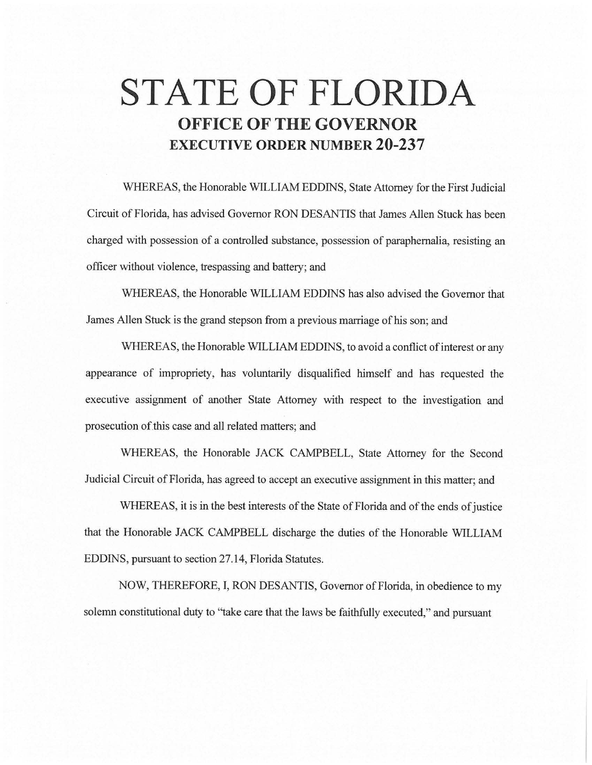## **STATE OF FLORIDA OFFICE OF THE GOVERNOR EXECUTIVE ORDER NUMBER 20-237**

WHEREAS, the Honorable WILLIAM EDDINS, State Attorney for the First Judicial Circuit of Florida, has advised Governor RON DESANTIS that James Allen Stuck has been charged with possession of a controlled substance, possession of paraphernalia, resisting an officer without violence, trespassing and battery; and

WHEREAS, the Honorable WILLIAM EDDINS has also advised the Governor that James Allen Stuck is the grand stepson from a previous marriage of his son; and

WHEREAS, the Honorable WILLIAM EDDINS, to avoid a conflict of interest or any appearance of impropriety, has voluntarily disqualified himself and has requested the executive assignment of another State Attorney with respect to the investigation and prosecution of.this case and all related matters; and

WHEREAS, the Honorable JACK CAMPBELL, State Attorney for the Second Judicial Circuit of Florida, has agreed to accept an executive assignment in this matter; and

WHEREAS, it is in the best interests of the State of Florida and of the ends of justice that the Honorable JACK CAMPBELL discharge the duties of the Honorable WILLIAM EDDINS, pursuant to section 27.14, Florida Statutes.

NOW, THEREFORE, I, RON DESANTIS, Governor of Florida, in obedience to my solemn constitutional duty to "take care that the laws be faithfully executed," and pursuant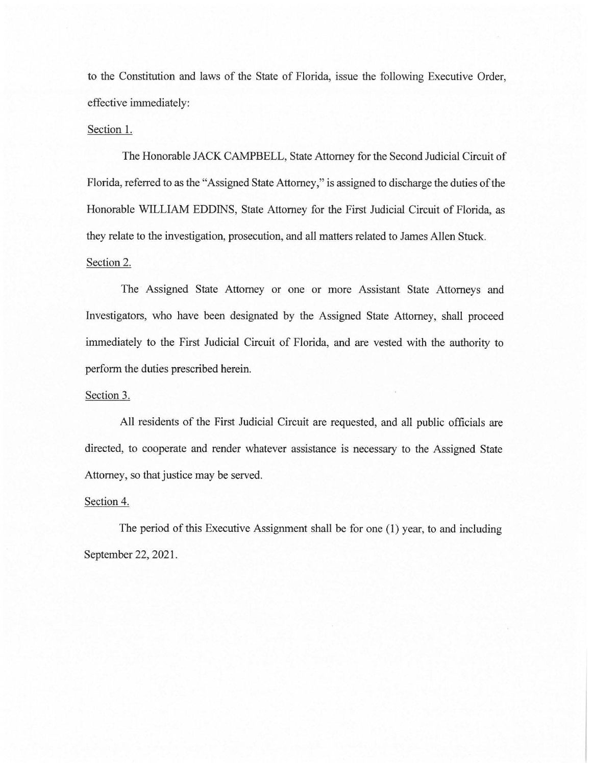to the Constitution and laws of the State of Florida, issue the following Executive Order, effective immediately:

## Section 1.

The Honorable JACK CAMPBELL, State Attorney for the Second Judicial Circuit of Florida, referred to as the "Assigned State Attorney," is assigned to discharge the duties of the Honorable WILLIAM EDDINS, State Attorney for the First Judicial Circuit of Florida, as they relate to the investigation, prosecution, and all matters related to James Allen Stuck. Section 2.

The Assigned State Attorney or one or more Assistant State Attorneys and Investigators, who have been designated by the Assigned State Attorney, shall proceed immediately to the First Judicial Circuit of Florida, and are vested with the authority to perform the duties prescribed herein.

## Section 3.

All residents of the First Judicial Circuit are requested, and all public officials are directed, to cooperate and render whatever assistance is necessary to the Assigned State Attorney, so that justice may be served.

## Section 4.

The period of this Executive Assignment shall be for one (I) year, to and including September 22, 2021.